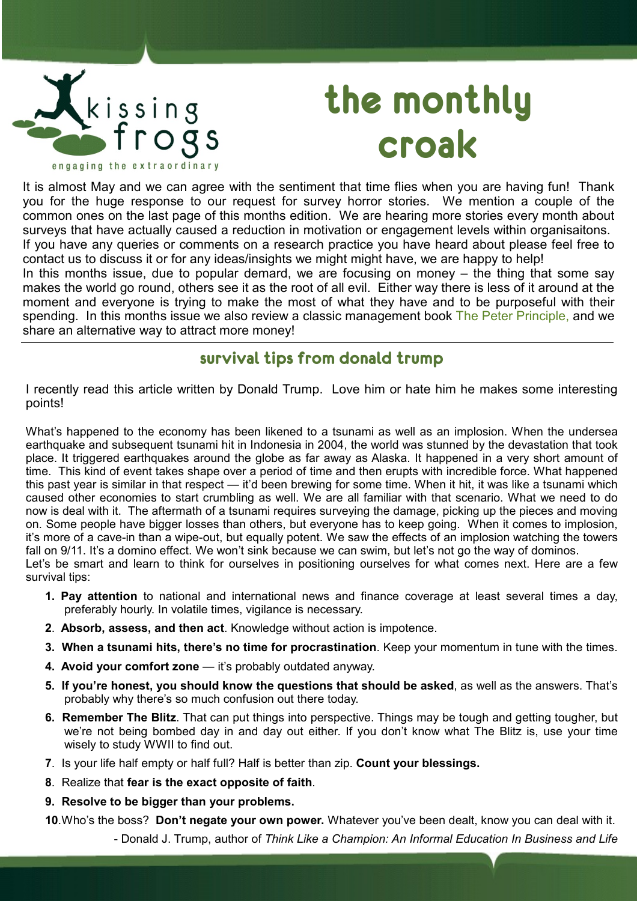

# **the monthly croak**

It is almost May and we can agree with the sentiment that time flies when you are having fun! Thank you for the huge response to our request for survey horror stories. We mention a couple of the common ones on the last page of this months edition. We are hearing more stories every month about surveys that have actually caused a reduction in motivation or engagement levels within organisaitons. If you have any queries or comments on a research practice you have heard about please feel free to contact us to discuss it or for any ideas/insights we might might have, we are happy to help!

In this months issue, due to popular demard, we are focusing on money – the thing that some say makes the world go round, others see it as the root of all evil. Either way there is less of it around at the moment and everyone is trying to make the most of what they have and to be purposeful with their spending. In this months issue we also review a classic management book [The Peter Principle,](http://www.fishpond.co.nz/Books/Business/Economics/General/product_info/266615/?cf=3&rid=981936134&i=6&keywords=peter+principle) and we share an alternative way to attract more money!

## **survival tips from donald trump**

I recently read this article written by Donald Trump. Love him or hate him he makes some interesting points!

What's happened to the economy has been likened to a tsunami as well as an implosion. When the undersea earthquake and subsequent tsunami hit in Indonesia in 2004, the world was stunned by the devastation that took place. It triggered earthquakes around the globe as far away as Alaska. It happened in a very short amount of time. This kind of event takes shape over a period of time and then erupts with incredible force. What happened this past year is similar in that respect — it'd been brewing for some time. When it hit, it was like a tsunami which caused other economies to start crumbling as well. We are all familiar with that scenario. What we need to do now is deal with it. The aftermath of a tsunami requires surveying the damage, picking up the pieces and moving on. Some people have bigger losses than others, but everyone has to keep going. When it comes to implosion, it's more of a cave-in than a wipe-out, but equally potent. We saw the effects of an implosion watching the towers fall on 9/11. It's a domino effect. We won't sink because we can swim, but let's not go the way of dominos. Let's be smart and learn to think for ourselves in positioning ourselves for what comes next. Here are a few survival tips:

- **1. Pay attention** to national and international news and finance coverage at least several times a day, preferably hourly. In volatile times, vigilance is necessary.
- **2**. **Absorb, assess, and then act**. Knowledge without action is impotence.
- **3. When a tsunami hits, there's no time for procrastination**. Keep your momentum in tune with the times.
- **4. Avoid your comfort zone** it's probably outdated anyway.
- **5. If you're honest, you should know the questions that should be asked**, as well as the answers. That's probably why there's so much confusion out there today.
- **6. Remember The Blitz**. That can put things into perspective. Things may be tough and getting tougher, but we're not being bombed day in and day out either. If you don't know what The Blitz is, use your time wisely to study WWII to find out.
- **7**. Is your life half empty or half full? Half is better than zip. **Count your blessings.**
- **8**. Realize that **fear is the exact opposite of faith**.
- **9. Resolve to be bigger than your problems.**

**10**.Who's the boss? **Don't negate your own power.** Whatever you've been dealt, know you can deal with it.

- Donald J. Trump, author of *Think Like a Champion: An Informal Education In Business and Life*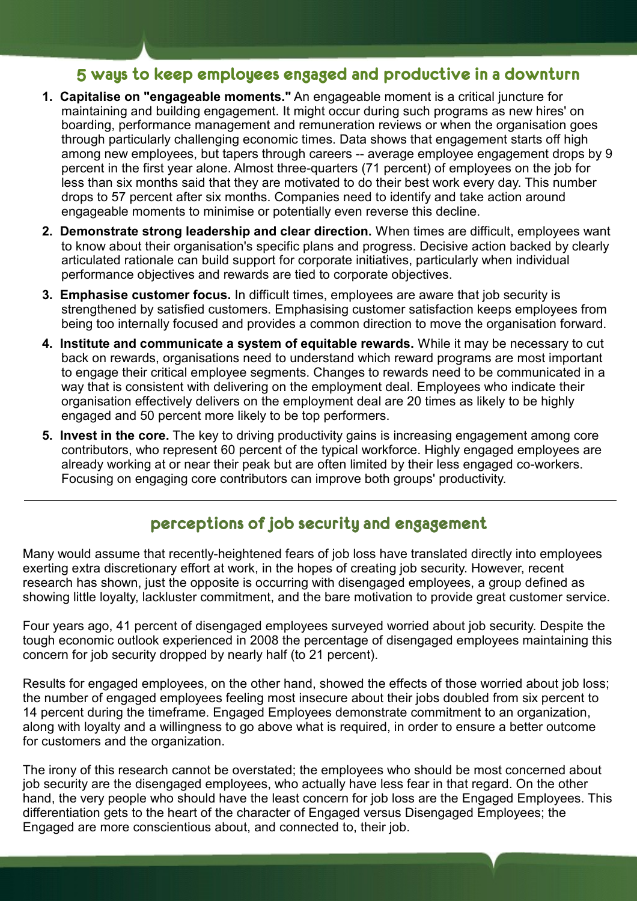# **5 ways to keep employees engaged and productive in a downturn**

- **1. Capitalise on "engageable moments."** An engageable moment is a critical juncture for maintaining and building engagement. It might occur during such programs as new hires' on boarding, performance management and remuneration reviews or when the organisation goes through particularly challenging economic times. Data shows that engagement starts off high among new employees, but tapers through careers -- average employee engagement drops by 9 percent in the first year alone. Almost three-quarters (71 percent) of employees on the job for less than six months said that they are motivated to do their best work every day. This number drops to 57 percent after six months. Companies need to identify and take action around engageable moments to minimise or potentially even reverse this decline.
- **2. Demonstrate strong leadership and clear direction.** When times are difficult, employees want to know about their organisation's specific plans and progress. Decisive action backed by clearly articulated rationale can build support for corporate initiatives, particularly when individual performance objectives and rewards are tied to corporate objectives.
- **3. Emphasise customer focus.** In difficult times, employees are aware that job security is strengthened by satisfied customers. Emphasising customer satisfaction keeps employees from being too internally focused and provides a common direction to move the organisation forward.
- **4. Institute and communicate a system of equitable rewards.** While it may be necessary to cut back on rewards, organisations need to understand which reward programs are most important to engage their critical employee segments. Changes to rewards need to be communicated in a way that is consistent with delivering on the employment deal. Employees who indicate their organisation effectively delivers on the employment deal are 20 times as likely to be highly engaged and 50 percent more likely to be top performers.
- **5. Invest in the core.** The key to driving productivity gains is increasing engagement among core contributors, who represent 60 percent of the typical workforce. Highly engaged employees are already working at or near their peak but are often limited by their less engaged co-workers. Focusing on engaging core contributors can improve both groups' productivity.

## **perceptions of job security and engagement**

Many would assume that recently-heightened fears of job loss have translated directly into employees exerting extra discretionary effort at work, in the hopes of creating job security. However, recent research has shown, just the opposite is occurring with disengaged employees, a group defined as showing little loyalty, lackluster commitment, and the bare motivation to provide great customer service.

Four years ago, 41 percent of disengaged employees surveyed worried about job security. Despite the tough economic outlook experienced in 2008 the percentage of disengaged employees maintaining this concern for job security dropped by nearly half (to 21 percent).

Results for engaged employees, on the other hand, showed the effects of those worried about job loss; the number of engaged employees feeling most insecure about their jobs doubled from six percent to 14 percent during the timeframe. Engaged Employees demonstrate commitment to an organization, along with loyalty and a willingness to go above what is required, in order to ensure a better outcome for customers and the organization.

The irony of this research cannot be overstated; the employees who should be most concerned about job security are the disengaged employees, who actually have less fear in that regard. On the other hand, the very people who should have the least concern for job loss are the Engaged Employees. This differentiation gets to the heart of the character of Engaged versus Disengaged Employees; the Engaged are more conscientious about, and connected to, their job.